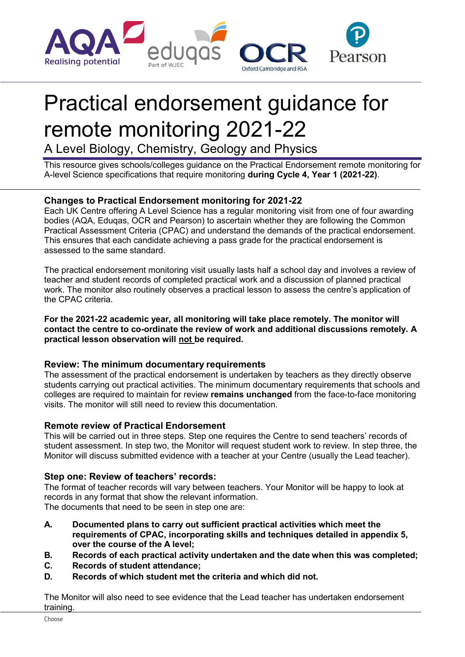

# Practical endorsement guidance for remote monitoring 2021-22

A Level Biology, Chemistry, Geology and Physics

This resource gives schools/colleges guidance on the Practical Endorsement remote monitoring for A-level Science specifications that require monitoring **during Cycle 4, Year 1 (2021-22)**.

## **Changes to Practical Endorsement monitoring for 2021-22**

Each UK Centre offering A Level Science has a regular monitoring visit from one of four awarding bodies (AQA, Eduqas, OCR and Pearson) to ascertain whether they are following the Common Practical Assessment Criteria (CPAC) and understand the demands of the practical endorsement. This ensures that each candidate achieving a pass grade for the practical endorsement is assessed to the same standard.

The practical endorsement monitoring visit usually lasts half a school day and involves a review of teacher and student records of completed practical work and a discussion of planned practical work. The monitor also routinely observes a practical lesson to assess the centre's application of the CPAC criteria.

#### **For the 2021-22 academic year, all monitoring will take place remotely. The monitor will contact the centre to co-ordinate the review of work and additional discussions remotely. A practical lesson observation will not be required.**

## **Review: The minimum documentary requirements**

The assessment of the practical endorsement is undertaken by teachers as they directly observe students carrying out practical activities. The minimum documentary requirements that schools and colleges are required to maintain for review **remains unchanged** from the face-to-face monitoring visits. The monitor will still need to review this documentation.

## **Remote review of Practical Endorsement**

This will be carried out in three steps. Step one requires the Centre to send teachers' records of student assessment. In step two, the Monitor will request student work to review. In step three, the Monitor will discuss submitted evidence with a teacher at your Centre (usually the Lead teacher).

## **Step one: Review of teachers' records:**

The format of teacher records will vary between teachers. Your Monitor will be happy to look at records in any format that show the relevant information.

The documents that need to be seen in step one are:

- **A. Documented plans to carry out sufficient practical activities which meet the requirements of CPAC, incorporating skills and techniques detailed in appendix 5, over the course of the A level;**
- **B. Records of each practical activity undertaken and the date when this was completed;**
- **C. Records of student attendance;**
- **D. Records of which student met the criteria and which did not.**

The Monitor will also need to see evidence that the Lead teacher has undertaken endorsement training.